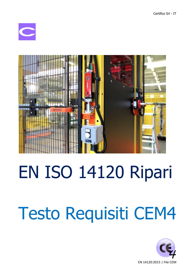



## EN ISO 14120 Ripari

# Testo Requisiti CEM4

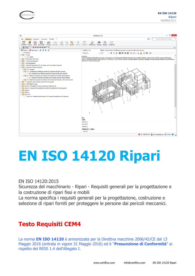



## **EN ISO 14120 Ripari**

### EN ISO 14120:2015

Sicurezza del macchinario - Ripari - Requisiti generali per la progettazione e la costruzione di ripari fissi e mobili

La norma specifica i requisiti generali per la progettazione, costruzione e selezione di ripari forniti per proteggere le persone dai pericoli meccanici.

### **Testo Requisiti CEM4**

La norma **EN ISO 14120** è armonizzata per la Direttiva macchine 2006/42/CE dal 13 Maggio 2016 (entrata in vigore 31 Maggio 2016) ed è "**Presunzione di Conformità**" ai rispetto del RESS 1.4 dell'Allegato I.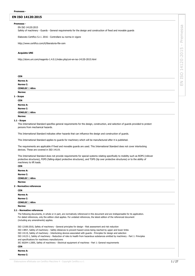#### **EN ISO 14120:2015**

#### **Premessa -**

#### EN ISO 14120:2015

Safety of machinery - Guards - General requirements for the design and construction of fixed and movable guards

Elaborato Certifico S.r.l. 2016 - Controllare su norma in vigore

http://www.certifico.com/it/liberatoria-file-cem

#### **Acquisto UNI**

http://store.uni.com/magento-1.4.0.1/index.php/uni-en-iso-14120-2015.html

| <b>CEN</b>             |
|------------------------|
| Norme A:               |
| <b>Norme C:</b>        |
| <b>CENELEC</b>   Altro |
| Norme:                 |
| 1 - Scope              |
| <b>CEN</b>             |

| Norme A:               |  |  |
|------------------------|--|--|
| Norme C:               |  |  |
| <b>CENELEC</b>   Altro |  |  |
| Norme:                 |  |  |

**1.1 - Scope**

This International Standard specifies general requirements for the design, construction, and selection of guards provided to protect persons from mechanical hazards.

This International Standard indicates other hazards that can influence the design and construction of guards.

This International Standard applies to guards for machinery which will be manufactured after it is published.

The requirements are applicable if fixed and movable guards are used. This International Standard does not cover interlocking devices. These are covered in ISO 14119.

This International Standard does not provide requirements for special systems relating specifically to mobility such as ROPS (rollover protective structures), FOPS (falling-object protective structures), and TOPS (tip over protective structures) or to the ability of machinery to lift loads. **CEN**

| .                        |
|--------------------------|
| Norme A:                 |
| Norme C:                 |
| <b>CENELEC</b>   Altro   |
| Norme:                   |
| 2 - Normative references |
| $- - - -$                |

| <b>CEN</b>             |  |  |
|------------------------|--|--|
| Norme A:               |  |  |
| <b>Norme C:</b>        |  |  |
| <b>CENELEC</b>   Altro |  |  |
| Norme:                 |  |  |

#### **2.1 - Normative references**

The following documents, in whole or in part, are normatively referenced in this document and are iindispensable for its application. For dated references, only the edition cited applies. For undated references, the latest edition of the referenced document (including any amendments) applies.

ISO 12100:2010, Safety of machinery - General principles for design - Risk assessment and risk reduction ISO 13857, Safety of machinery - Safety distances to prevent hazard zones being reached by upper and lower limbs ISO 14119, Safety of machinery - Interlocking devices associated with guards - Principles for design and selection ISO 14123-1, Safety of machinery - Reduction of risks to health from hazardous substances emitted by machinery - Part 1: Principles and specifications for machinery manufacturers IEC 60204-1:2005, Safety of machinery - Electrical equipment of machines - Part 1: General requirements **CEN**

| .        |  |
|----------|--|
| Norme A: |  |
| Norme C: |  |

EN ISO 14120:2015 - Premessa

14120:2015

ISO

 $\leq$ 

Premessa

 $\bar{\rm I}$